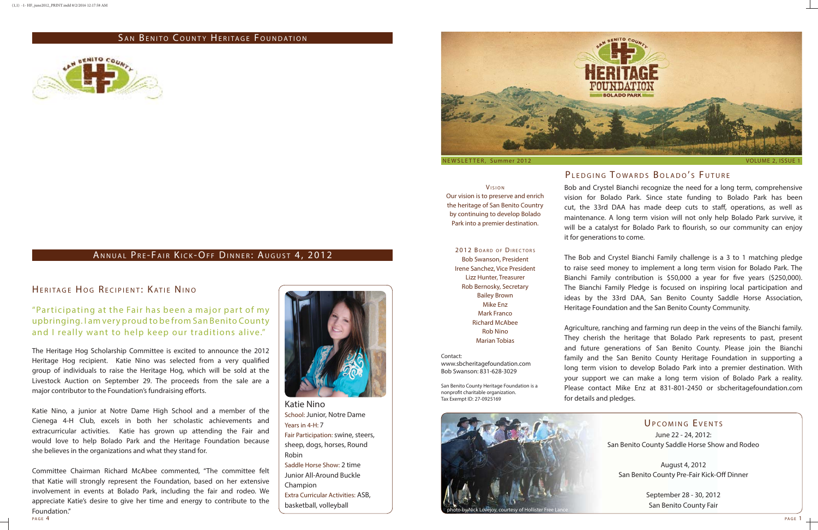VISION Our vision is to preserve and enrich the heritage of San Benito Country by continuing to develop Bolado Park into a premier destination.

2012 BOARD OF DIRECTORS Bob Swanson, President Irene Sanchez, Vice President Lizz Hunter, Treasurer Rob Bernosky, Secretary Bailey Brown Mike Enz Mark Franco Richard McAbee Rob Nino Marian Tobias

Contact:

# PLEDGING TOWARDS BOLADO'S FUTURE

www.sbcheritagefoundation.com Bob Swanson: 831-628-3029

San Benito County Heritage Foundation is a nonprofit charitable organization. Tax Exempt ID: 27-0925169

Bob and Crystel Bianchi recognize the need for a long term, comprehensive vision for Bolado Park. Since state funding to Bolado Park has been cut, the 33rd DAA has made deep cuts to staff, operations, as well as maintenance. A long term vision will not only help Bolado Park survive, it will be a catalyst for Bolado Park to flourish, so our community can enjoy it for generations to come.

The Heritage Hog Scholarship Committee is excited to announce the 2012 Heritage Hog recipient. Katie Nino was selected from a very qualified group of individuals to raise the Heritage Hog, which will be sold at the Livestock Auction on September 29. The proceeds from the sale are a major contributor to the Foundation's fundraising efforts.

The Bob and Crystel Bianchi Family challenge is a 3 to 1 matching pledge to raise seed money to implement a long term vision for Bolado Park. The Bianchi Family contribution is \$50,000 a year for five years (\$250,000). The Bianchi Family Pledge is focused on inspiring local participation and ideas by the 33rd DAA, San Benito County Saddle Horse Association, Heritage Foundation and the San Benito County Community.

Agriculture, ranching and farming run deep in the veins of the Bianchi family. They cherish the heritage that Bolado Park represents to past, present and future generations of San Benito County. Please join the Bianchi family and the San Benito County Heritage Foundation in supporting a long term vision to develop Bolado Park into a premier destination. With your support we can make a long term vision of Bolado Park a reality. Please contact Mike Enz at 831-801-2450 or sbcheritagefoundation.com

# UPCOMING EVENTS

# "Participating at the Fair has been a major part of my upbringing. I am very proud to be from San Benito County and I really want to help keep our traditions alive."

Extra Curricular Activities: ASB, basketball, volleyball



for details and pledges.

June 22 - 24, 2012: San Benito County Saddle Horse Show and Rodeo

August 4, 2012 San Benito County Pre-Fair Kick-Off Dinner

> September 28 - 30, 2012 San Benito County Fair



# HERITAGE HOG RECIPIENT: KATIE NINO



Katie Nino, a junior at Notre Dame High School and a member of the Cienega 4-H Club, excels in both her scholastic achievements and extracurricular activities. Katie has grown up attending the Fair and would love to help Bolado Park and the Heritage Foundation because she believes in the organizations and what they stand for.

PAGE 4 PAGE 1 Committee Chairman Richard McAbee commented, "The committee felt that Katie will strongly represent the Foundation, based on her extensive involvement in events at Bolado Park, including the fair and rodeo. We appreciate Katie's desire to give her time and energy to contribute to the Foundation."<br>PAGE 4



Katie Nino School: Junior, Notre Dame Years in 4-H: 7 Fair Participation: swine, steers, sheep, dogs, horses, Round Robin Saddle Horse Show: 2 time

Junior All-Around Buckle Champion

# SAN BENITO COUNTY HERITAGE FOUNDATION